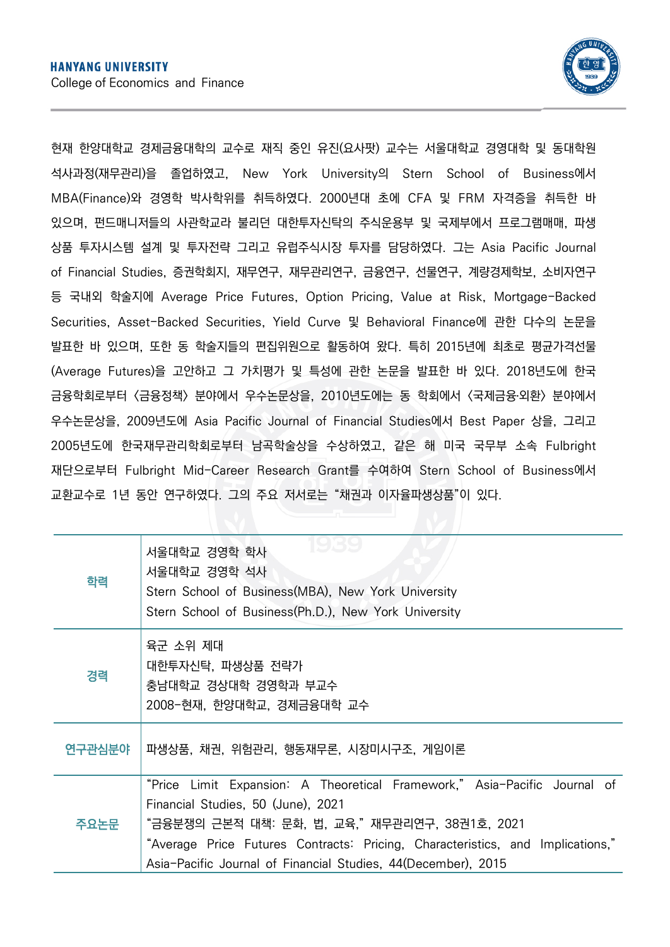

현재 한양대학교 경제금융대학의 교수로 재직 중인 유진(요사팟) 교수는 서울대학교 경영대학 및 동대학원 석사과정(재무관리)을 졸업하였고, New York University의 Stern School of Business에서 MBA(Finance)와 경영학 박사학위를 취득하였다. 2000년대 초에 CFA 및 FRM 자격증을 취득한 바 있으며, 펀드매니저들의 사관학교라 불리던 대한투자신탁의 주식운용부 및 국제부에서 프로그램매매, 파생 상품 투자시스템 설계 및 투자전략 그리고 유럽주식시장 투자를 담당하였다. 그는 Asia Pacific Journal of Financial Studies, 증권학회지, 재무연구, 재무관리연구, 금융연구, 선물연구, 계량경제학보, 소비자연구 등 국내외 학술지에 Average Price Futures, Option Pricing, Value at Risk, Mortgage-Backed Securities, Asset-Backed Securities, Yield Curve 및 Behavioral Finance에 관한 다수의 논문을 발표한 바 있으며, 또한 동 학술지들의 편집위원으로 활동하여 왔다. 특히 2015년에 최초로 평균가격선물 (Average Futures)을 고안하고 그 가치평가 및 특성에 관한 논문을 발표한 바 있다. 2018년도에 한국 금융학회로부터 <금융정책> 분야에서 우수논문상을, 2010년도에는 동 학회에서 <국제금융․외환> 분야에서 우수논문상을, 2009년도에 Asia Pacific Journal of Financial Studies에서 Best Paper 상을, 그리고 2005년도에 한국재무관리학회로부터 남곡학술상을 수상하였고, 같은 해 미국 국무부 소속 Fulbright 재단으로부터 Fulbright Mid-Career Research Grant를 수여하여 Stern School of Business에서 교환교수로 1년 동안 연구하였다. 그의 주요 저서로는 "채권과 이자율파생상품"이 있다.

| 학력     | 1939<br>서울대학교 경영학 학사<br>서울대학교 경영학 석사<br>Stern School of Business(MBA), New York University<br>Stern School of Business(Ph.D.), New York University                                                                                                                                                                  |
|--------|---------------------------------------------------------------------------------------------------------------------------------------------------------------------------------------------------------------------------------------------------------------------------------------------------------------------|
| 경력     | 육군 소위 제대<br>대한투자신탁, 파생상품 전략가<br>충남대학교 경상대학 경영학과 부교수<br>2008-현재, 한양대학교, 경제금융대학 교수                                                                                                                                                                                                                                    |
| 연구관심분야 | 파생상품, 채권, 위험관리, 행동재무론, 시장미시구조, 게임이론                                                                                                                                                                                                                                                                                 |
| 주요논문   | "Price Limit Expansion: A Theoretical Framework," Asia-Pacific Journal of<br>Financial Studies, 50 (June), 2021<br>"금융분쟁의 근본적 대책: 문화, 법, 교육,"재무관리연구, 38권1호, 2021<br>"Average Price Futures Contracts: Pricing, Characteristics, and Implications,"<br>Asia-Pacific Journal of Financial Studies, 44(December), 2015 |